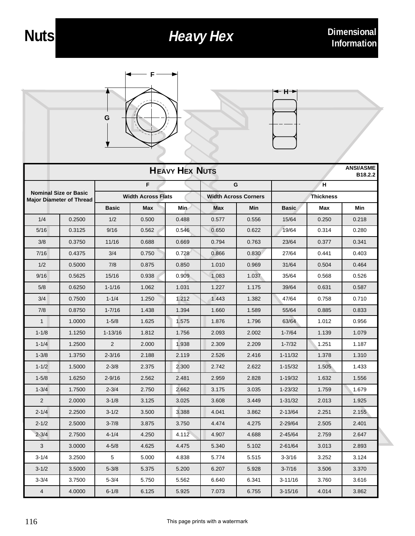## **Heavy Hex** Dimensional





| <b>HEAVY HEX NUTS</b>                                           |        |                           |       |       |                             |       |                  |       | <b>ANSI/ASME</b><br>B <sub>18.2.2</sub> |
|-----------------------------------------------------------------|--------|---------------------------|-------|-------|-----------------------------|-------|------------------|-------|-----------------------------------------|
| <b>Nominal Size or Basic</b><br><b>Major Diameter of Thread</b> |        | F                         |       |       | G                           |       | н                |       |                                         |
|                                                                 |        | <b>Width Across Flats</b> |       |       | <b>Width Across Corners</b> |       | <b>Thickness</b> |       |                                         |
|                                                                 |        | <b>Basic</b>              | Max   | Min   | Max                         | Min   | <b>Basic</b>     | Max   | Min                                     |
| 1/4                                                             | 0.2500 | 1/2                       | 0.500 | 0.488 | 0.577                       | 0.556 | 15/64            | 0.250 | 0.218                                   |
| 5/16                                                            | 0.3125 | 9/16                      | 0.562 | 0.546 | 0.650                       | 0.622 | 19/64            | 0.314 | 0.280                                   |
| 3/8                                                             | 0.3750 | 11/16                     | 0.688 | 0.669 | 0.794                       | 0.763 | 23/64            | 0.377 | 0.341                                   |
| 7/16                                                            | 0.4375 | 3/4                       | 0.750 | 0.728 | 0.866                       | 0.830 | 27/64            | 0.441 | 0.403                                   |
| 1/2                                                             | 0.5000 | 7/8                       | 0.875 | 0.850 | 1.010                       | 0.969 | 31/64            | 0.504 | 0.464                                   |
| 9/16                                                            | 0.5625 | 15/16                     | 0.938 | 0.909 | 1.083                       | 1.037 | 35/64            | 0.568 | 0.526                                   |
| 5/8                                                             | 0.6250 | $1 - 1/16$                | 1.062 | 1.031 | 1.227                       | 1.175 | 39/64            | 0.631 | 0.587                                   |
| 3/4                                                             | 0.7500 | $1 - 1/4$                 | 1.250 | 1.212 | 1.443                       | 1.382 | 47/64            | 0.758 | 0.710                                   |
| 7/8                                                             | 0.8750 | $1 - 7/16$                | 1.438 | 1.394 | 1.660                       | 1.589 | 55/64            | 0.885 | 0.833                                   |
| 1                                                               | 1.0000 | $1 - 5/8$                 | 1.625 | 1.575 | 1.876                       | 1.796 | 63/64            | 1.012 | 0.956                                   |
| $1 - 1/8$                                                       | 1.1250 | $1 - 13/16$               | 1.812 | 1.756 | 2.093                       | 2.002 | $1 - 7/64$       | 1.139 | 1.079                                   |
| $1 - 1/4$                                                       | 1.2500 | $\overline{2}$            | 2.000 | 1.938 | 2.309                       | 2.209 | $1 - 7/32$       | 1.251 | 1.187                                   |
| $1 - 3/8$                                                       | 1.3750 | $2 - 3/16$                | 2.188 | 2.119 | 2.526                       | 2.416 | $1 - 11/32$      | 1.378 | 1.310                                   |
| $1 - 1/2$                                                       | 1.5000 | $2 - 3/8$                 | 2.375 | 2.300 | 2.742                       | 2.622 | $1 - 15/32$      | 1.505 | 1.433                                   |
| $1 - 5/8$                                                       | 1.6250 | $2 - 9/16$                | 2.562 | 2.481 | 2.959                       | 2.828 | $1 - 19/32$      | 1.632 | 1.556                                   |
| $1 - 3/4$                                                       | 1.7500 | $2 - 3/4$                 | 2.750 | 2.662 | 3.175                       | 3.035 | $1 - 23/32$      | 1.759 | 1.679                                   |
| 2                                                               | 2.0000 | $3 - 1/8$                 | 3.125 | 3.025 | 3.608                       | 3.449 | $1 - 31/32$      | 2.013 | 1.925                                   |
| $2 - 1/4$                                                       | 2.2500 | $3 - 1/2$                 | 3.500 | 3.388 | 4.041                       | 3.862 | $2 - 13/64$      | 2.251 | 2.155                                   |
| $2 - 1/2$                                                       | 2.5000 | $3 - 7/8$                 | 3.875 | 3.750 | 4.474                       | 4.275 | $2 - 29/64$      | 2.505 | 2.401                                   |
| $2 - 3/4$                                                       | 2.7500 | $4 - 1/4$                 | 4.250 | 4.112 | 4.907                       | 4.688 | 2-45/64          | 2.759 | 2.647                                   |
| 3                                                               | 3.0000 | $4 - 5/8$                 | 4.625 | 4.475 | 5.340                       | 5.102 | $2 - 61/64$      | 3.013 | 2.893                                   |
| $3 - 1/4$                                                       | 3.2500 | 5                         | 5.000 | 4.838 | 5.774                       | 5.515 | 3-3/16           | 3.252 | 3.124                                   |
| $3 - 1/2$                                                       | 3.5000 | $5 - 3/8$                 | 5.375 | 5.200 | 6.207                       | 5.928 | $3 - 7/16$       | 3.506 | 3.370                                   |
| $3 - 3/4$                                                       | 3.7500 | $5 - 3/4$                 | 5.750 | 5.562 | 6.640                       | 6.341 | 3-11/16          | 3.760 | 3.616                                   |
| $\overline{4}$                                                  | 4.0000 | $6 - 1/8$                 | 6.125 | 5.925 | 7.073                       | 6.755 | $3 - 15/16$      | 4.014 | 3.862                                   |